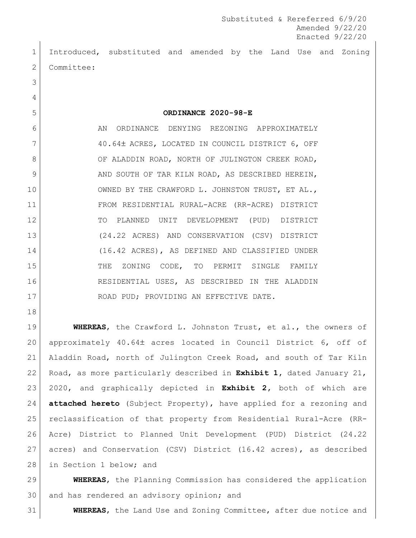Introduced, substituted and amended by the Land Use and Zoning 2 Committee:

**ORDINANCE 2020-98-E**

6 AN ORDINANCE DENYING REZONING APPROXIMATELY 7 40.64± ACRES, LOCATED IN COUNCIL DISTRICT 6, OFF 8 OF ALADDIN ROAD, NORTH OF JULINGTON CREEK ROAD, 9 AND SOUTH OF TAR KILN ROAD, AS DESCRIBED HEREIN, 10 OWNED BY THE CRAWFORD L. JOHNSTON TRUST, ET AL., FROM RESIDENTIAL RURAL-ACRE (RR-ACRE) DISTRICT TO PLANNED UNIT DEVELOPMENT (PUD) DISTRICT (24.22 ACRES) AND CONSERVATION (CSV) DISTRICT (16.42 ACRES), AS DEFINED AND CLASSIFIED UNDER 15 THE ZONING CODE, TO PERMIT SINGLE FAMILY RESIDENTIAL USES, AS DESCRIBED IN THE ALADDIN 17 ROAD PUD; PROVIDING AN EFFECTIVE DATE.

 **WHEREAS**, the Crawford L. Johnston Trust, et al., the owners of approximately 40.64 acres located in Council District 6, off of Aladdin Road, north of Julington Creek Road, and south of Tar Kiln Road, as more particularly described in **Exhibit 1,** dated January 21, 2020, and graphically depicted in **Exhibit 2,** both of which are **attached hereto** (Subject Property), have applied for a rezoning and reclassification of that property from Residential Rural-Acre (RR- Acre) District to Planned Unit Development (PUD) District (24.22 acres) and Conservation (CSV) District (16.42 acres), as described 28 in Section 1 below; and

 **WHEREAS**, the Planning Commission has considered the application 30 and has rendered an advisory opinion; and

**WHEREAS**, the Land Use and Zoning Committee, after due notice and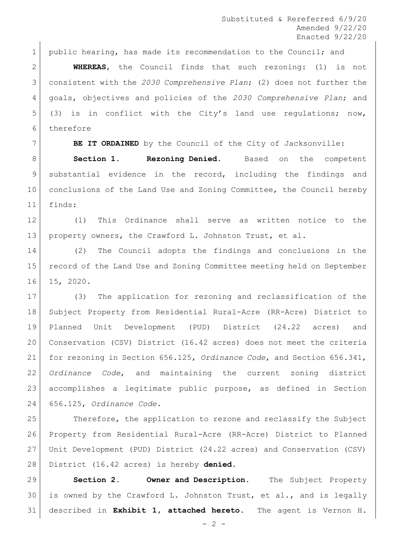Substituted & Rereferred 6/9/20 Amended 9/22/20 Enacted 9/22/20

1 | public hearing, has made its recommendation to the Council; and

 **WHEREAS**, the Council finds that such rezoning: (1) is not consistent with the *2030 Comprehensive Plan*; (2) does not further the goals, objectives and policies of the *2030 Comprehensive Plan*; and (3) is in conflict with the City's land use regulations; now, therefore

**BE IT ORDAINED** by the Council of the City of Jacksonville:

 **Section 1. Rezoning Denied.** Based on the competent substantial evidence in the record, including the findings and conclusions of the Land Use and Zoning Committee, the Council hereby finds:

 (1) This Ordinance shall serve as written notice to the property owners, the Crawford L. Johnston Trust, et al.

 (2) The Council adopts the findings and conclusions in the record of the Land Use and Zoning Committee meeting held on September 15, 2020.

 (3) The application for rezoning and reclassification of the Subject Property from Residential Rural-Acre (RR-Acre) District to Planned Unit Development (PUD) District (24.22 acres) and Conservation (CSV) District (16.42 acres) does not meet the criteria for rezoning in Section 656.125, *Ordinance Code*, and Section 656.341, *Ordinance Code*, and maintaining the current zoning district accomplishes a legitimate public purpose, as defined in Section 656.125, *Ordinance Code*.

25 Therefore, the application to rezone and reclassify the Subject Property from Residential Rural-Acre (RR-Acre) District to Planned Unit Development (PUD) District (24.22 acres) and Conservation (CSV) District (16.42 acres) is hereby **denied.**

 **Section 2. Owner and Description.** The Subject Property 30 is owned by the Crawford L. Johnston Trust, et al., and is legally described in **Exhibit 1, attached hereto**. The agent is Vernon H.

 $- 2 -$